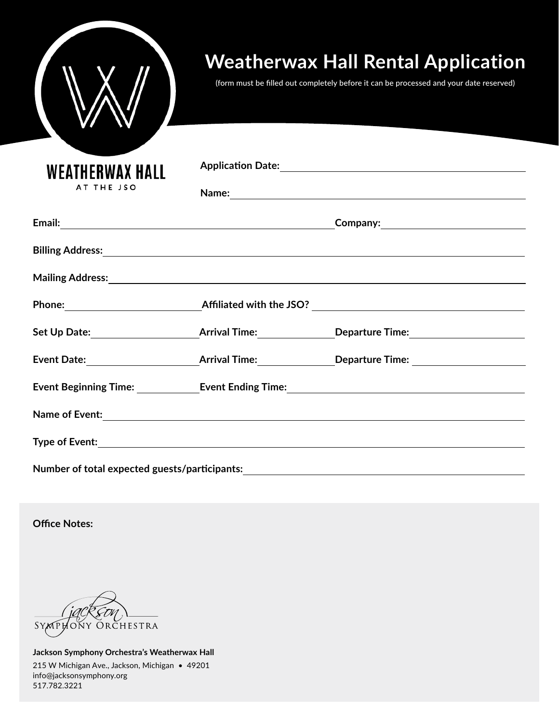|                                      | <b>Weatherwax Hall Rental Application</b><br>(form must be filled out completely before it can be processed and your date reserved) |
|--------------------------------------|-------------------------------------------------------------------------------------------------------------------------------------|
| <b>WEATHERWAX HALL</b><br>AT THE JSO |                                                                                                                                     |
|                                      |                                                                                                                                     |
|                                      |                                                                                                                                     |
|                                      |                                                                                                                                     |
|                                      |                                                                                                                                     |
|                                      |                                                                                                                                     |
|                                      |                                                                                                                                     |
|                                      | Event Date: <u>New York: Arrival Time:</u> Neparture Time: Neparture Time:                                                          |
|                                      |                                                                                                                                     |
|                                      |                                                                                                                                     |
|                                      |                                                                                                                                     |
|                                      | Number of total expected guests/participants:___________________________________                                                    |

**Office Notes:**

K SYMPHONY ORCHESTRA

**Jackson Symphony Orchestra's Weatherwax Hall** 215 W Michigan Ave., Jackson, Michigan • 49201 info@jacksonsymphony.org 517.782.3221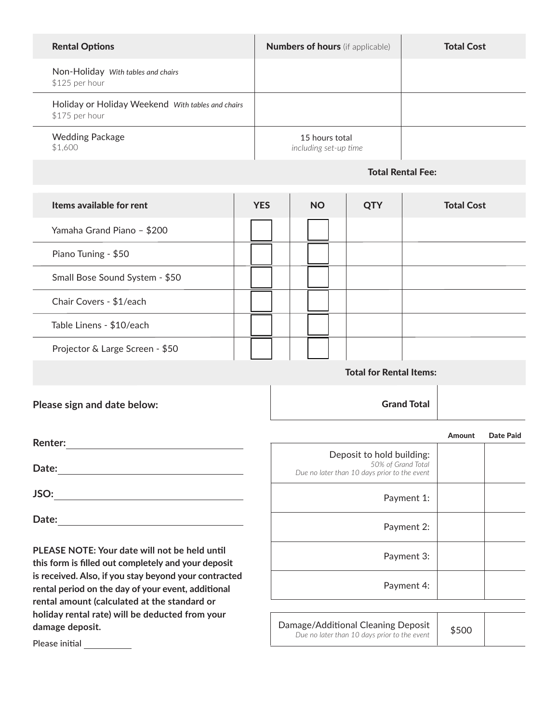| <b>Rental Options</b>                                               | <b>Numbers of hours</b> (if applicable) | <b>Total Cost</b> |
|---------------------------------------------------------------------|-----------------------------------------|-------------------|
| Non-Holiday With tables and chairs<br>\$125 per hour                |                                         |                   |
| Holiday or Holiday Weekend With tables and chairs<br>\$175 per hour |                                         |                   |
| <b>Wedding Package</b><br>\$1,600                                   | 15 hours total<br>including set-up time |                   |

## Total Rental Fee:

| Items available for rent        | <b>YES</b> | <b>NO</b> | <b>QTY</b> | <b>Total Cost</b> |  |  |
|---------------------------------|------------|-----------|------------|-------------------|--|--|
| Yamaha Grand Piano - \$200      |            |           |            |                   |  |  |
| Piano Tuning - \$50             |            |           |            |                   |  |  |
| Small Bose Sound System - \$50  |            |           |            |                   |  |  |
| Chair Covers - \$1/each         |            |           |            |                   |  |  |
| Table Linens - \$10/each        |            |           |            |                   |  |  |
| Projector & Large Screen - \$50 |            |           |            |                   |  |  |
| Total for Dontal Itamer         |            |           |            |                   |  |  |

Total for Rental Items:

Grand Total

**Please sign and date below:** 

|                                                                                                 | Amount | Date Paid |
|-------------------------------------------------------------------------------------------------|--------|-----------|
| Deposit to hold building:<br>50% of Grand Total<br>Due no later than 10 days prior to the event |        |           |
| Payment 1:                                                                                      |        |           |
| Payment 2:                                                                                      |        |           |
| Payment 3:                                                                                      |        |           |
| Payment 4:                                                                                      |        |           |
|                                                                                                 |        |           |

Damage/Additional Cleaning Deposit *Due no later than 10 days prior to the event*

\$500

**this form is filled out completely and your deposit**

**is received. Also, if you stay beyond your contracted rental period on the day of your event, additional rental amount (calculated at the standard or holiday rental rate) will be deducted from your damage deposit.** 

**Renter:**

**Date:**

**JSO:**

**Date:**

**PLEASE NOTE: Your date will not be held until**

Please initial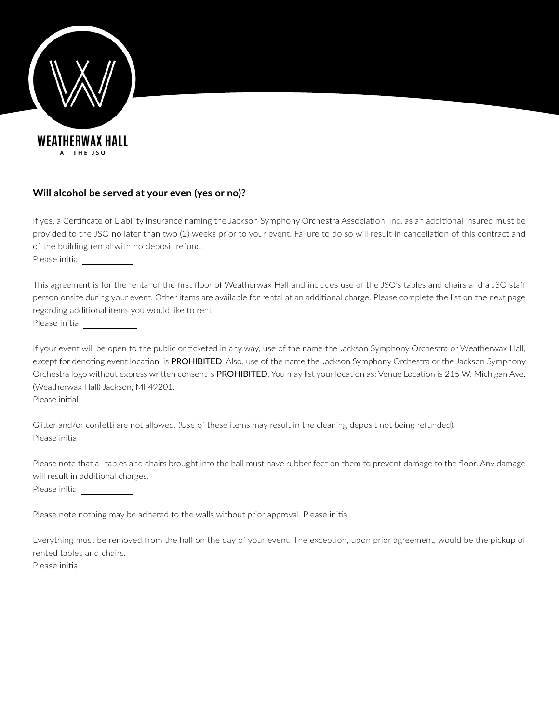

## **Will alcohol be served at your even (yes or no)?**

If yes, a Certificate of Liability Insurance naming the Jackson Symphony Orchestra Association, Inc. as an additional insured must be provided to the JSO no later than two (2) weeks prior to your event. Failure to do so will result in cancellation of this contract and of the building rental with no deposit refund.

Please initial

This agreement is for the rental of the first floor of Weatherwax Hall and includes use of the JSO's tables and chairs and a JSO staff person onsite during your event. Other items are available for rental at an additional charge. Please complete the list on the next page regarding additional items you would like to rent. Please initial

If your event will be open to the public or ticketed in any way, use of the name the Jackson Symphony Orchestra or Weatherwax Hall, except for denoting event location, is PROHIBITED. Also, use of the name the Jackson Symphony Orchestra or the Jackson Symphony Orchestra logo without express written consent is PROHIBITED. You may list your location as: Venue Location is 215 W. Michigan Ave. (Weatherwax Hall) Jackson, MI 49201.

Please initial

Glitter and/or confetti are not allowed. (Use of these items may result in the cleaning deposit not being refunded). Please initial

Please note that all tables and chairs brought into the hall must have rubber feet on them to prevent damage to the floor. Any damage will result in additional charges. Please initial

Please note nothing may be adhered to the walls without prior approval. Please initial

Everything must be removed from the hall on the day of your event. The exception, upon prior agreement, would be the pickup of rented tables and chairs. Please initial